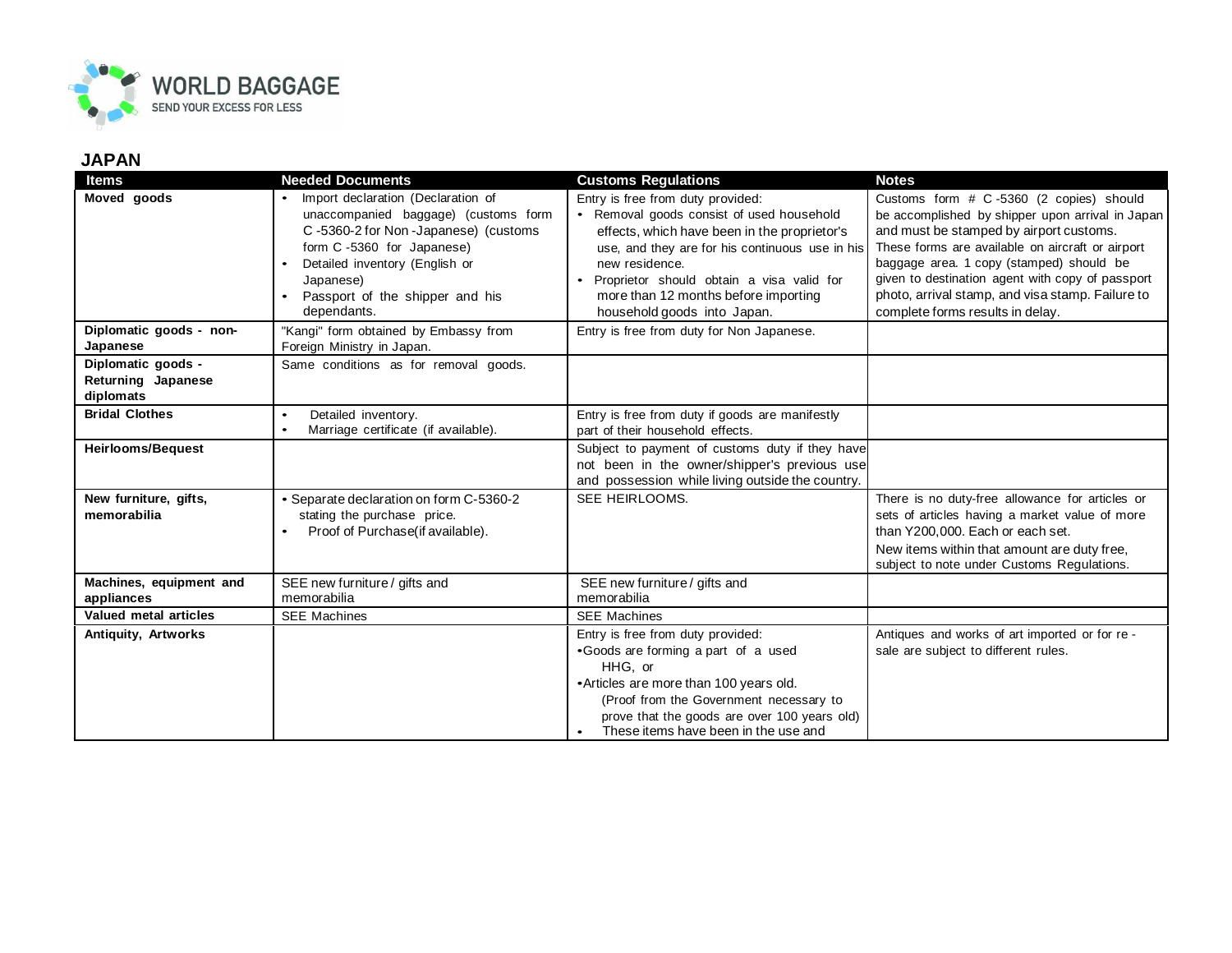

## **JAPAN**

| <b>Items</b>                                          | <b>Needed Documents</b>                                                                                                                                                                                                                                      | <b>Customs Regulations</b>                                                                                                                                                                                                                                                                                              | <b>Notes</b>                                                                                                                                                                                                                                                                                                                                                                       |
|-------------------------------------------------------|--------------------------------------------------------------------------------------------------------------------------------------------------------------------------------------------------------------------------------------------------------------|-------------------------------------------------------------------------------------------------------------------------------------------------------------------------------------------------------------------------------------------------------------------------------------------------------------------------|------------------------------------------------------------------------------------------------------------------------------------------------------------------------------------------------------------------------------------------------------------------------------------------------------------------------------------------------------------------------------------|
| Moved goods                                           | Import declaration (Declaration of<br>$\bullet$<br>unaccompanied baggage) (customs form<br>C-5360-2 for Non-Japanese) (customs<br>form C-5360 for Japanese)<br>Detailed inventory (English or<br>Japanese)<br>Passport of the shipper and his<br>dependants. | Entry is free from duty provided:<br>• Removal goods consist of used household<br>effects, which have been in the proprietor's<br>use, and they are for his continuous use in his<br>new residence.<br>Proprietor should obtain a visa valid for<br>more than 12 months before importing<br>household goods into Japan. | Customs form # C-5360 (2 copies) should<br>be accomplished by shipper upon arrival in Japan<br>and must be stamped by airport customs.<br>These forms are available on aircraft or airport<br>baggage area. 1 copy (stamped) should be<br>given to destination agent with copy of passport<br>photo, arrival stamp, and visa stamp. Failure to<br>complete forms results in delay. |
| Diplomatic goods - non-<br>Japanese                   | "Kangi" form obtained by Embassy from<br>Foreign Ministry in Japan.                                                                                                                                                                                          | Entry is free from duty for Non Japanese.                                                                                                                                                                                                                                                                               |                                                                                                                                                                                                                                                                                                                                                                                    |
| Diplomatic goods -<br>Returning Japanese<br>diplomats | Same conditions as for removal goods.                                                                                                                                                                                                                        |                                                                                                                                                                                                                                                                                                                         |                                                                                                                                                                                                                                                                                                                                                                                    |
| <b>Bridal Clothes</b>                                 | Detailed inventory.<br>$\bullet$<br>Marriage certificate (if available).                                                                                                                                                                                     | Entry is free from duty if goods are manifestly<br>part of their household effects.                                                                                                                                                                                                                                     |                                                                                                                                                                                                                                                                                                                                                                                    |
| <b>Heirlooms/Bequest</b>                              |                                                                                                                                                                                                                                                              | Subject to payment of customs duty if they have<br>not been in the owner/shipper's previous use<br>and possession while living outside the country.                                                                                                                                                                     |                                                                                                                                                                                                                                                                                                                                                                                    |
| New furniture, gifts,<br>memorabilia                  | • Separate declaration on form C-5360-2<br>stating the purchase price.<br>Proof of Purchase(if available).<br>$\bullet$                                                                                                                                      | SEE HEIRLOOMS.                                                                                                                                                                                                                                                                                                          | There is no duty-free allowance for articles or<br>sets of articles having a market value of more<br>than Y200,000. Each or each set.<br>New items within that amount are duty free,<br>subject to note under Customs Regulations.                                                                                                                                                 |
| Machines, equipment and<br>appliances                 | SEE new furniture / gifts and<br>memorabilia                                                                                                                                                                                                                 | SEE new furniture / gifts and<br>memorabilia                                                                                                                                                                                                                                                                            |                                                                                                                                                                                                                                                                                                                                                                                    |
| Valued metal articles                                 | <b>SEE Machines</b>                                                                                                                                                                                                                                          | <b>SEE Machines</b>                                                                                                                                                                                                                                                                                                     |                                                                                                                                                                                                                                                                                                                                                                                    |
| Antiquity, Artworks                                   |                                                                                                                                                                                                                                                              | Entry is free from duty provided:<br>•Goods are forming a part of a used<br>HHG. or<br>• Articles are more than 100 years old.<br>(Proof from the Government necessary to<br>prove that the goods are over 100 years old)<br>These items have been in the use and                                                       | Antiques and works of art imported or for re -<br>sale are subject to different rules.                                                                                                                                                                                                                                                                                             |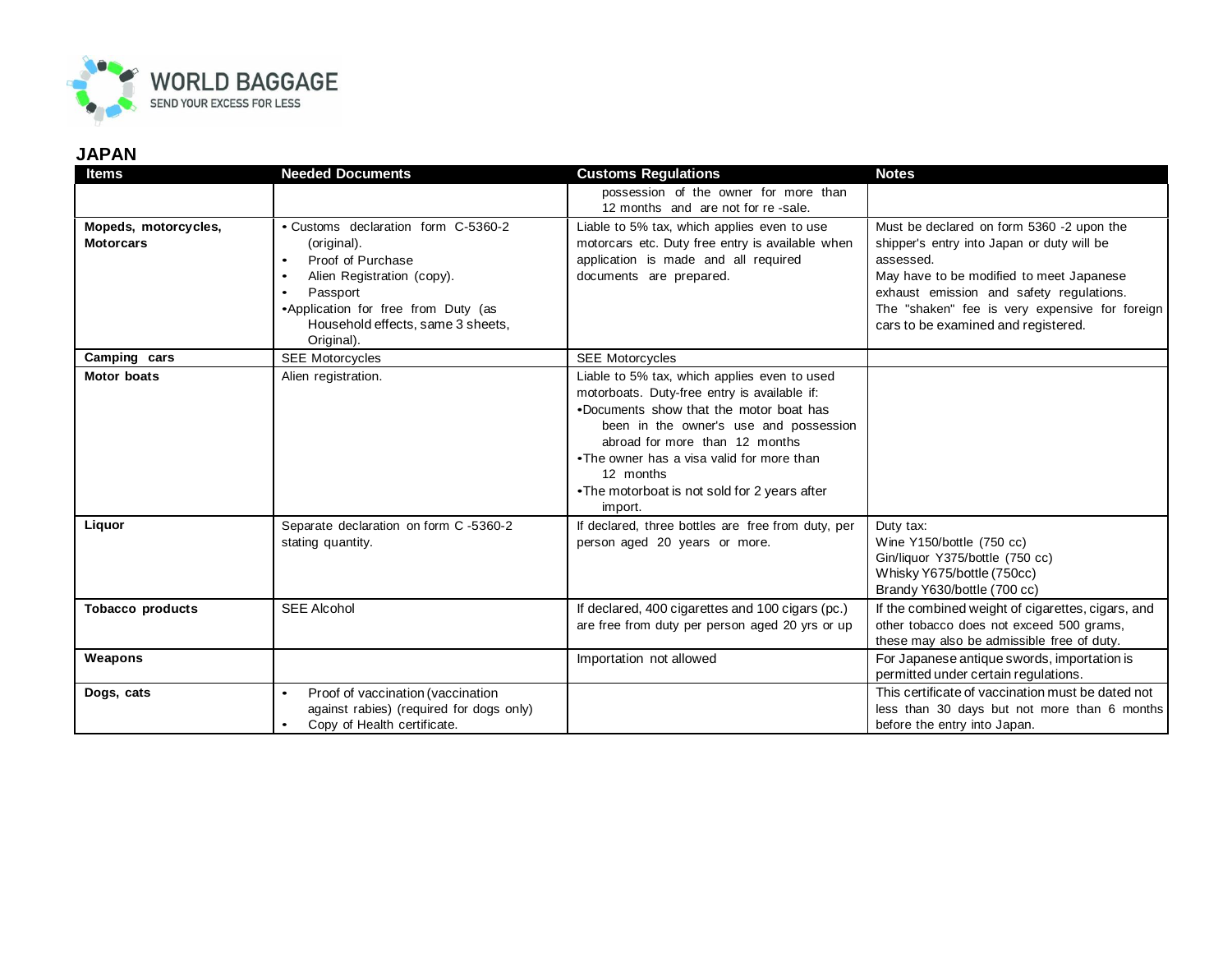

## **JAPAN**

| <b>Items</b>                             | <b>Needed Documents</b>                                                                                                                                                                                                                            | <b>Customs Regulations</b>                                                                                                                                                                                                                                                                                                               | <b>Notes</b>                                                                                                                                                                                                                                                                          |
|------------------------------------------|----------------------------------------------------------------------------------------------------------------------------------------------------------------------------------------------------------------------------------------------------|------------------------------------------------------------------------------------------------------------------------------------------------------------------------------------------------------------------------------------------------------------------------------------------------------------------------------------------|---------------------------------------------------------------------------------------------------------------------------------------------------------------------------------------------------------------------------------------------------------------------------------------|
|                                          |                                                                                                                                                                                                                                                    | possession of the owner for more than<br>12 months and are not for re-sale.                                                                                                                                                                                                                                                              |                                                                                                                                                                                                                                                                                       |
| Mopeds, motorcycles,<br><b>Motorcars</b> | • Customs declaration form C-5360-2<br>(original).<br>Proof of Purchase<br>$\bullet$<br>Alien Registration (copy).<br>$\bullet$<br>Passport<br>$\bullet$<br>•Application for free from Duty (as<br>Household effects, same 3 sheets,<br>Original). | Liable to 5% tax, which applies even to use<br>motorcars etc. Duty free entry is available when<br>application is made and all required<br>documents are prepared.                                                                                                                                                                       | Must be declared on form 5360 -2 upon the<br>shipper's entry into Japan or duty will be<br>assessed.<br>May have to be modified to meet Japanese<br>exhaust emission and safety regulations.<br>The "shaken" fee is very expensive for foreign<br>cars to be examined and registered. |
| Camping cars                             | <b>SEE Motorcycles</b>                                                                                                                                                                                                                             | <b>SEE Motorcycles</b>                                                                                                                                                                                                                                                                                                                   |                                                                                                                                                                                                                                                                                       |
| <b>Motor boats</b>                       | Alien registration.                                                                                                                                                                                                                                | Liable to 5% tax, which applies even to used<br>motorboats. Duty-free entry is available if:<br>.Documents show that the motor boat has<br>been in the owner's use and possession<br>abroad for more than 12 months<br>•The owner has a visa valid for more than<br>12 months<br>•The motorboat is not sold for 2 years after<br>import. |                                                                                                                                                                                                                                                                                       |
| Liquor                                   | Separate declaration on form C-5360-2<br>stating quantity.                                                                                                                                                                                         | If declared, three bottles are free from duty, per<br>person aged 20 years or more.                                                                                                                                                                                                                                                      | Duty tax:<br>Wine Y150/bottle (750 cc)<br>Gin/liquor Y375/bottle (750 cc)<br>Whisky Y675/bottle (750cc)<br>Brandy Y630/bottle (700 cc)                                                                                                                                                |
| <b>Tobacco products</b>                  | <b>SEE Alcohol</b>                                                                                                                                                                                                                                 | If declared, 400 cigarettes and 100 cigars (pc.)<br>are free from duty per person aged 20 yrs or up                                                                                                                                                                                                                                      | If the combined weight of cigarettes, cigars, and<br>other tobacco does not exceed 500 grams,<br>these may also be admissible free of duty.                                                                                                                                           |
| Weapons                                  |                                                                                                                                                                                                                                                    | Importation not allowed                                                                                                                                                                                                                                                                                                                  | For Japanese antique swords, importation is<br>permitted under certain regulations.                                                                                                                                                                                                   |
| Dogs, cats                               | Proof of vaccination (vaccination<br>$\bullet$<br>against rabies) (required for dogs only)<br>Copy of Health certificate.                                                                                                                          |                                                                                                                                                                                                                                                                                                                                          | This certificate of vaccination must be dated not<br>less than 30 days but not more than 6 months<br>before the entry into Japan.                                                                                                                                                     |